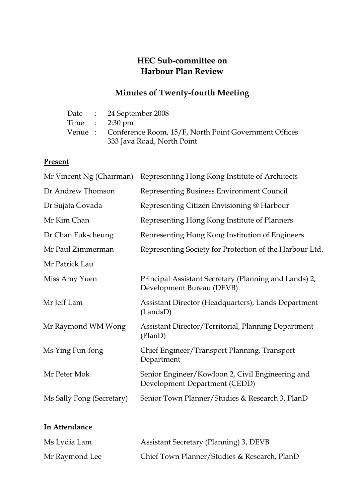# HEC Sub-committee on Harbour Plan Review

# Minutes of Twenty-fourth Meeting

|  | Date: 24 September 2008                                      |
|--|--------------------------------------------------------------|
|  | Time : $2:30 \text{ pm}$                                     |
|  | Venue: Conference Room, 15/F, North Point Government Offices |
|  | 333 Java Road, North Point                                   |

# Present

In Attendance

| Mr Vincent Ng (Chairman)<br>Representing Hong Kong Institute of Architects         |  |  |
|------------------------------------------------------------------------------------|--|--|
| Representing Business Environment Council                                          |  |  |
| Representing Citizen Envisioning @ Harbour                                         |  |  |
| Representing Hong Kong Institute of Planners                                       |  |  |
| Representing Hong Kong Institution of Engineers                                    |  |  |
| Representing Society for Protection of the Harbour Ltd.                            |  |  |
|                                                                                    |  |  |
| Principal Assistant Secretary (Planning and Lands) 2,<br>Development Bureau (DEVB) |  |  |
| Assistant Director (Headquarters), Lands Department<br>(LandsD)                    |  |  |
| <b>Assistant Director/Territorial, Planning Department</b><br>(PlanD)              |  |  |
| Chief Engineer/Transport Planning, Transport<br>Department                         |  |  |
| Senior Engineer/Kowloon 2, Civil Engineering and<br>Development Department (CEDD)  |  |  |
| Senior Town Planner/Studies & Research 3, PlanD                                    |  |  |
|                                                                                    |  |  |

| Ms Lydia Lam   | Assistant Secretary (Planning) 3, DEVB       |
|----------------|----------------------------------------------|
| Mr Raymond Lee | Chief Town Planner/Studies & Research, PlanD |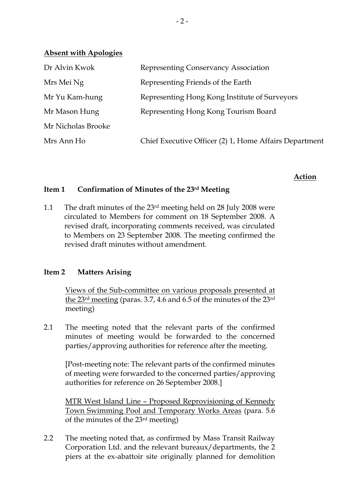| Dr Alvin Kwok      | Representing Conservancy Association                   |
|--------------------|--------------------------------------------------------|
| Mrs Mei Ng         | Representing Friends of the Earth                      |
| Mr Yu Kam-hung     | Representing Hong Kong Institute of Surveyors          |
| Mr Mason Hung      | Representing Hong Kong Tourism Board                   |
| Mr Nicholas Brooke |                                                        |
| Mrs Ann Ho         | Chief Executive Officer (2) 1, Home Affairs Department |
|                    |                                                        |

# Action

#### Item 1 Confirmation of Minutes of the 23rd Meeting

1.1 The draft minutes of the 23rd meeting held on 28 July 2008 were circulated to Members for comment on 18 September 2008. A revised draft, incorporating comments received, was circulated to Members on 23 September 2008. The meeting confirmed the revised draft minutes without amendment.

### Item 2 Matters Arising

Absent with Apologies

 Views of the Sub-committee on various proposals presented at the 23rd meeting (paras. 3.7, 4.6 and 6.5 of the minutes of the 23rd meeting)

2.1 The meeting noted that the relevant parts of the confirmed minutes of meeting would be forwarded to the concerned parties/approving authorities for reference after the meeting.

[Post-meeting note: The relevant parts of the confirmed minutes of meeting were forwarded to the concerned parties/approving authorities for reference on 26 September 2008.]

MTR West Island Line – Proposed Reprovisioning of Kennedy Town Swimming Pool and Temporary Works Areas (para. 5.6 of the minutes of the 23rd meeting)

2.2 The meeting noted that, as confirmed by Mass Transit Railway Corporation Ltd. and the relevant bureaux/departments, the 2 piers at the ex-abattoir site originally planned for demolition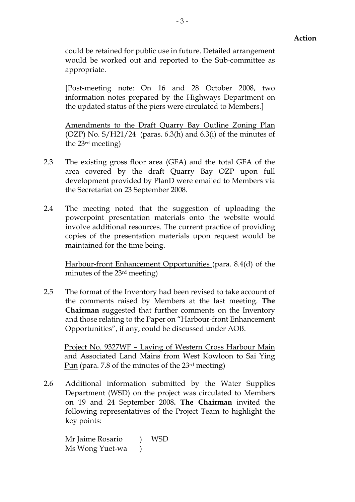could be retained for public use in future. Detailed arrangement would be worked out and reported to the Sub-committee as appropriate.

[Post-meeting note: On 16 and 28 October 2008, two information notes prepared by the Highways Department on the updated status of the piers were circulated to Members.]

Amendments to the Draft Quarry Bay Outline Zoning Plan (OZP) No.  $S/H21/24$  (paras. 6.3(h) and 6.3(i) of the minutes of the 23rd meeting)

- 2.3 The existing gross floor area (GFA) and the total GFA of the area covered by the draft Quarry Bay OZP upon full development provided by PlanD were emailed to Members via the Secretariat on 23 September 2008.
- 2.4 The meeting noted that the suggestion of uploading the powerpoint presentation materials onto the website would involve additional resources. The current practice of providing copies of the presentation materials upon request would be maintained for the time being.

Harbour-front Enhancement Opportunities (para. 8.4(d) of the minutes of the 23rd meeting)

2.5 The format of the Inventory had been revised to take account of the comments raised by Members at the last meeting. The Chairman suggested that further comments on the Inventory and those relating to the Paper on "Harbour-front Enhancement Opportunities", if any, could be discussed under AOB.

Project No. 9327WF – Laying of Western Cross Harbour Main and Associated Land Mains from West Kowloon to Sai Ying Pun (para. 7.8 of the minutes of the 23rd meeting)

2.6 Additional information submitted by the Water Supplies Department (WSD) on the project was circulated to Members on 19 and 24 September 2008. The Chairman invited the following representatives of the Project Team to highlight the key points:

Mr Jaime Rosario ) WSD Ms Wong Yuet-wa )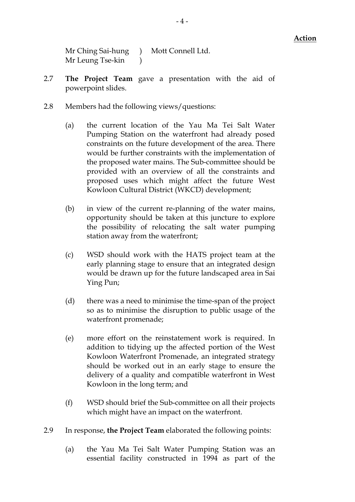Mr Ching Sai-hung ) Mott Connell Ltd. Mr Leung Tse-kin )

- 2.7 The Project Team gave a presentation with the aid of powerpoint slides.
- 2.8 Members had the following views/questions:
	- (a) the current location of the Yau Ma Tei Salt Water Pumping Station on the waterfront had already posed constraints on the future development of the area. There would be further constraints with the implementation of the proposed water mains. The Sub-committee should be provided with an overview of all the constraints and proposed uses which might affect the future West Kowloon Cultural District (WKCD) development;
	- (b) in view of the current re-planning of the water mains, opportunity should be taken at this juncture to explore the possibility of relocating the salt water pumping station away from the waterfront;
	- (c) WSD should work with the HATS project team at the early planning stage to ensure that an integrated design would be drawn up for the future landscaped area in Sai Ying Pun;
	- (d) there was a need to minimise the time-span of the project so as to minimise the disruption to public usage of the waterfront promenade;
	- (e) more effort on the reinstatement work is required. In addition to tidying up the affected portion of the West Kowloon Waterfront Promenade, an integrated strategy should be worked out in an early stage to ensure the delivery of a quality and compatible waterfront in West Kowloon in the long term; and
	- (f) WSD should brief the Sub-committee on all their projects which might have an impact on the waterfront.
- 2.9 In response, the Project Team elaborated the following points:
	- (a) the Yau Ma Tei Salt Water Pumping Station was an essential facility constructed in 1994 as part of the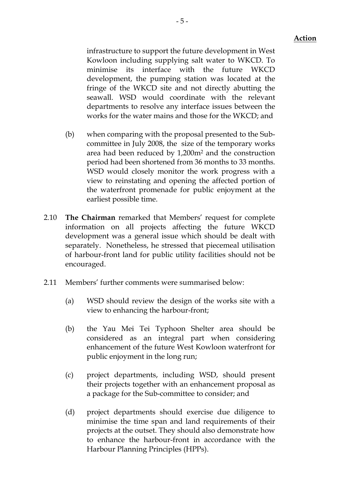infrastructure to support the future development in West Kowloon including supplying salt water to WKCD. To minimise its interface with the future WKCD development, the pumping station was located at the fringe of the WKCD site and not directly abutting the seawall. WSD would coordinate with the relevant departments to resolve any interface issues between the works for the water mains and those for the WKCD; and

- (b) when comparing with the proposal presented to the Subcommittee in July 2008, the size of the temporary works area had been reduced by 1,200m2 and the construction period had been shortened from 36 months to 33 months. WSD would closely monitor the work progress with a view to reinstating and opening the affected portion of the waterfront promenade for public enjoyment at the earliest possible time.
- 2.10 The Chairman remarked that Members' request for complete information on all projects affecting the future WKCD development was a general issue which should be dealt with separately. Nonetheless, he stressed that piecemeal utilisation of harbour-front land for public utility facilities should not be encouraged.
- 2.11 Members' further comments were summarised below:
	- (a) WSD should review the design of the works site with a view to enhancing the harbour-front;
	- (b) the Yau Mei Tei Typhoon Shelter area should be considered as an integral part when considering enhancement of the future West Kowloon waterfront for public enjoyment in the long run;
	- (c) project departments, including WSD, should present their projects together with an enhancement proposal as a package for the Sub-committee to consider; and
	- (d) project departments should exercise due diligence to minimise the time span and land requirements of their projects at the outset. They should also demonstrate how to enhance the harbour-front in accordance with the Harbour Planning Principles (HPPs).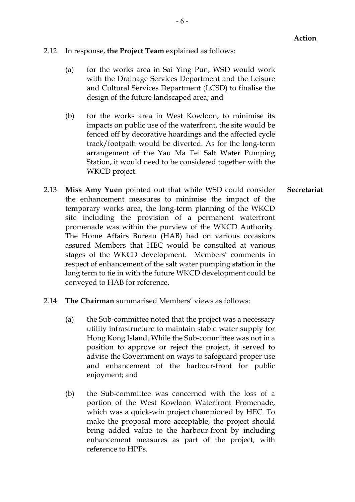- 2.12 In response, the Project Team explained as follows:
	- (a) for the works area in Sai Ying Pun, WSD would work with the Drainage Services Department and the Leisure and Cultural Services Department (LCSD) to finalise the design of the future landscaped area; and
	- (b) for the works area in West Kowloon, to minimise its impacts on public use of the waterfront, the site would be fenced off by decorative hoardings and the affected cycle track/footpath would be diverted. As for the long-term arrangement of the Yau Ma Tei Salt Water Pumping Station, it would need to be considered together with the WKCD project.
- 2.13 **Miss Amy Yuen** pointed out that while WSD could consider the enhancement measures to minimise the impact of the temporary works area, the long-term planning of the WKCD site including the provision of a permanent waterfront promenade was within the purview of the WKCD Authority. The Home Affairs Bureau (HAB) had on various occasions assured Members that HEC would be consulted at various stages of the WKCD development. Members' comments in respect of enhancement of the salt water pumping station in the long term to tie in with the future WKCD development could be conveyed to HAB for reference. **Secretariat**
- 2.14 The Chairman summarised Members' views as follows:
	- (a) the Sub-committee noted that the project was a necessary utility infrastructure to maintain stable water supply for Hong Kong Island. While the Sub-committee was not in a position to approve or reject the project, it served to advise the Government on ways to safeguard proper use and enhancement of the harbour-front for public enjoyment; and
	- (b) the Sub-committee was concerned with the loss of a portion of the West Kowloon Waterfront Promenade, which was a quick-win project championed by HEC. To make the proposal more acceptable, the project should bring added value to the harbour-front by including enhancement measures as part of the project, with reference to HPPs.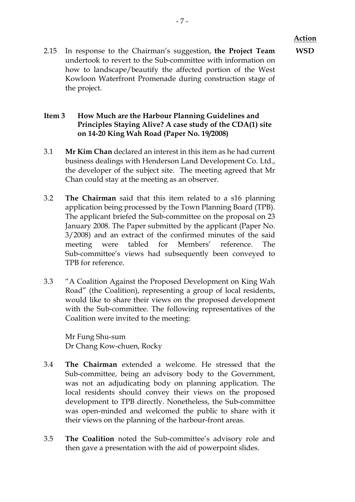2.15 In response to the Chairman's suggestion, the Project Team undertook to revert to the Sub-committee with information on how to landscape/beautify the affected portion of the West Kowloon Waterfront Promenade during construction stage of the project.

## Item 3 How Much are the Harbour Planning Guidelines and Principles Staying Alive? A case study of the CDA(1) site on 14-20 King Wah Road (Paper No. 19/2008)

- 3.1 Mr Kim Chan declared an interest in this item as he had current business dealings with Henderson Land Development Co. Ltd., the developer of the subject site. The meeting agreed that Mr Chan could stay at the meeting as an observer.
- 3.2 The Chairman said that this item related to a s16 planning application being processed by the Town Planning Board (TPB). The applicant briefed the Sub-committee on the proposal on 23 January 2008. The Paper submitted by the applicant (Paper No. 3/2008) and an extract of the confirmed minutes of the said meeting were tabled for Members' reference. The Sub-committee's views had subsequently been conveyed to TPB for reference.
- 3.3 "A Coalition Against the Proposed Development on King Wah Road" (the Coalition), representing a group of local residents, would like to share their views on the proposed development with the Sub-committee. The following representatives of the Coalition were invited to the meeting:

Mr Fung Shu-sum Dr Chang Kow-chuen, Rocky

- 3.4 The Chairman extended a welcome. He stressed that the Sub-committee, being an advisory body to the Government, was not an adjudicating body on planning application. The local residents should convey their views on the proposed development to TPB directly. Nonetheless, the Sub-committee was open-minded and welcomed the public to share with it their views on the planning of the harbour-front areas.
- 3.5 The Coalition noted the Sub-committee's advisory role and then gave a presentation with the aid of powerpoint slides.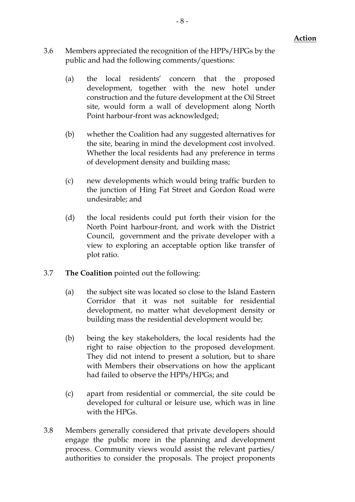- 3.6 Members appreciated the recognition of the HPPs/HPGs by the public and had the following comments/questions:
	- (a) the local residents' concern that the proposed development, together with the new hotel under construction and the future development at the Oil Street site, would form a wall of development along North Point harbour-front was acknowledged;
	- (b) whether the Coalition had any suggested alternatives for the site, bearing in mind the development cost involved. Whether the local residents had any preference in terms of development density and building mass;
	- (c) new developments which would bring traffic burden to the junction of Hing Fat Street and Gordon Road were undesirable; and
	- (d) the local residents could put forth their vision for the North Point harbour-front, and work with the District Council, government and the private developer with a view to exploring an acceptable option like transfer of plot ratio.
- 3.7 The Coalition pointed out the following:
	- (a) the subject site was located so close to the Island Eastern Corridor that it was not suitable for residential development, no matter what development density or building mass the residential development would be;
	- (b) being the key stakeholders, the local residents had the right to raise objection to the proposed development. They did not intend to present a solution, but to share with Members their observations on how the applicant had failed to observe the HPPs/HPGs; and
	- (c) apart from residential or commercial, the site could be developed for cultural or leisure use, which was in line with the HPGs.
- 3.8 Members generally considered that private developers should engage the public more in the planning and development process. Community views would assist the relevant parties/ authorities to consider the proposals. The project proponents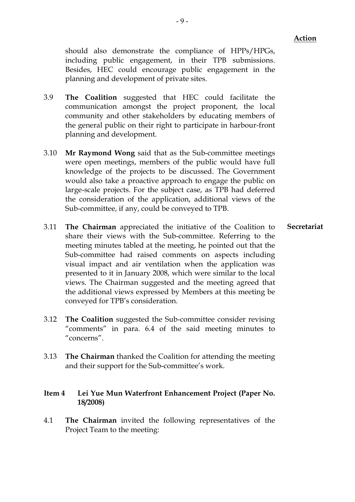should also demonstrate the compliance of HPPs/HPGs, including public engagement, in their TPB submissions. Besides, HEC could encourage public engagement in the planning and development of private sites.

- 3.9 The Coalition suggested that HEC could facilitate the communication amongst the project proponent, the local community and other stakeholders by educating members of the general public on their right to participate in harbour-front planning and development.
- 3.10 Mr Raymond Wong said that as the Sub-committee meetings were open meetings, members of the public would have full knowledge of the projects to be discussed. The Government would also take a proactive approach to engage the public on large-scale projects. For the subject case, as TPB had deferred the consideration of the application, additional views of the Sub-committee, if any, could be conveyed to TPB.
- 3.11 The Chairman appreciated the initiative of the Coalition to share their views with the Sub-committee. Referring to the meeting minutes tabled at the meeting, he pointed out that the Sub-committee had raised comments on aspects including visual impact and air ventilation when the application was presented to it in January 2008, which were similar to the local views. The Chairman suggested and the meeting agreed that the additional views expressed by Members at this meeting be conveyed for TPB's consideration. Secretariat
- 3.12 The Coalition suggested the Sub-committee consider revising "comments" in para. 6.4 of the said meeting minutes to "concerns".
- 3.13 The Chairman thanked the Coalition for attending the meeting and their support for the Sub-committee's work.

#### Item 4 Lei Yue Mun Waterfront Enhancement Project (Paper No. 18/2008)

4.1 The Chairman invited the following representatives of the Project Team to the meeting: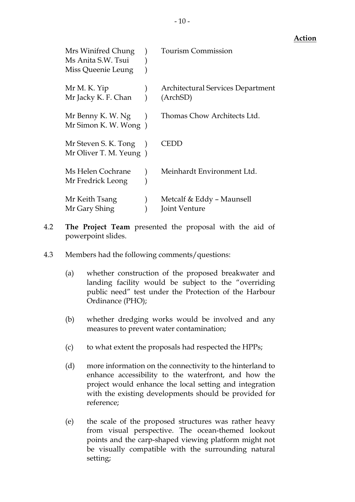| Mrs Winifred Chung<br>Ms Anita S.W. Tsui<br>Miss Queenie Leung | <b>Tourism Commission</b>                            |
|----------------------------------------------------------------|------------------------------------------------------|
| Mr M. K. Yip<br>Mr Jacky K. F. Chan                            | <b>Architectural Services Department</b><br>(ArchSD) |
| Mr Benny K. W. Ng<br>Mr Simon K. W. Wong)                      | Thomas Chow Architects Ltd.                          |
| Mr Steven S. K. Tong<br>Mr Oliver T. M. Yeung)                 | TEDD                                                 |
| Ms Helen Cochrane<br>Mr Fredrick Leong                         | Meinhardt Environment Ltd.                           |
| Mr Keith Tsang<br>Mr Gary Shing                                | Metcalf & Eddy - Maunsell<br>Joint Venture           |

- 4.2 The Project Team presented the proposal with the aid of powerpoint slides.
- 4.3 Members had the following comments/questions:
	- (a) whether construction of the proposed breakwater and landing facility would be subject to the "overriding public need" test under the Protection of the Harbour Ordinance (PHO);
	- (b) whether dredging works would be involved and any measures to prevent water contamination;
	- (c) to what extent the proposals had respected the HPPs;
	- (d) more information on the connectivity to the hinterland to enhance accessibility to the waterfront, and how the project would enhance the local setting and integration with the existing developments should be provided for reference;
	- (e) the scale of the proposed structures was rather heavy from visual perspective. The ocean-themed lookout points and the carp-shaped viewing platform might not be visually compatible with the surrounding natural setting;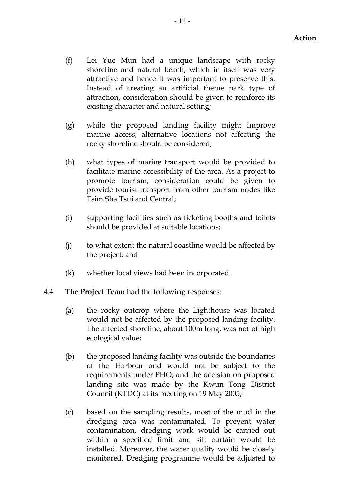- (f) Lei Yue Mun had a unique landscape with rocky shoreline and natural beach, which in itself was very attractive and hence it was important to preserve this. Instead of creating an artificial theme park type of attraction, consideration should be given to reinforce its existing character and natural setting;
- (g) while the proposed landing facility might improve marine access, alternative locations not affecting the rocky shoreline should be considered;
- (h) what types of marine transport would be provided to facilitate marine accessibility of the area. As a project to promote tourism, consideration could be given to provide tourist transport from other tourism nodes like Tsim Sha Tsui and Central;
- (i) supporting facilities such as ticketing booths and toilets should be provided at suitable locations;
- (j) to what extent the natural coastline would be affected by the project; and
- (k) whether local views had been incorporated.
- 4.4 The Project Team had the following responses:
	- (a) the rocky outcrop where the Lighthouse was located would not be affected by the proposed landing facility. The affected shoreline, about 100m long, was not of high ecological value;
	- (b) the proposed landing facility was outside the boundaries of the Harbour and would not be subject to the requirements under PHO; and the decision on proposed landing site was made by the Kwun Tong District Council (KTDC) at its meeting on 19 May 2005;
	- (c) based on the sampling results, most of the mud in the dredging area was contaminated. To prevent water contamination, dredging work would be carried out within a specified limit and silt curtain would be installed. Moreover, the water quality would be closely monitored. Dredging programme would be adjusted to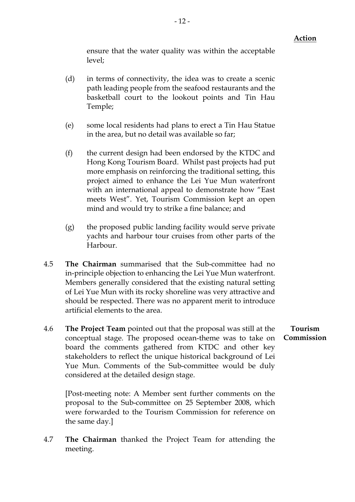ensure that the water quality was within the acceptable level;

- (d) in terms of connectivity, the idea was to create a scenic path leading people from the seafood restaurants and the basketball court to the lookout points and Tin Hau Temple;
- (e) some local residents had plans to erect a Tin Hau Statue in the area, but no detail was available so far;
- (f) the current design had been endorsed by the KTDC and Hong Kong Tourism Board. Whilst past projects had put more emphasis on reinforcing the traditional setting, this project aimed to enhance the Lei Yue Mun waterfront with an international appeal to demonstrate how "East meets West". Yet, Tourism Commission kept an open mind and would try to strike a fine balance; and
- (g) the proposed public landing facility would serve private yachts and harbour tour cruises from other parts of the Harbour.
- 4.5 The Chairman summarised that the Sub-committee had no in-principle objection to enhancing the Lei Yue Mun waterfront. Members generally considered that the existing natural setting of Lei Yue Mun with its rocky shoreline was very attractive and should be respected. There was no apparent merit to introduce artificial elements to the area.
- 4.6 The Project Team pointed out that the proposal was still at the conceptual stage. The proposed ocean-theme was to take on board the comments gathered from KTDC and other key stakeholders to reflect the unique historical background of Lei Yue Mun. Comments of the Sub-committee would be duly considered at the detailed design stage.

[Post-meeting note: A Member sent further comments on the proposal to the Sub-committee on 25 September 2008, which were forwarded to the Tourism Commission for reference on the same day.]

4.7 The Chairman thanked the Project Team for attending the meeting.

# Tourism Commission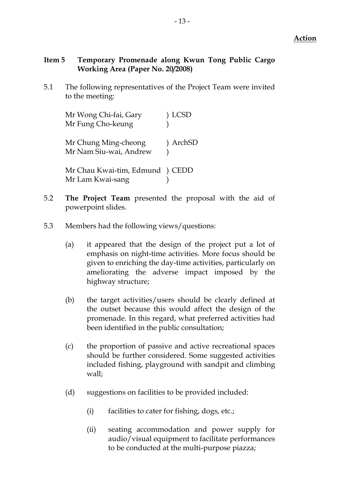# Item 5 Temporary Promenade along Kwun Tong Public Cargo Working Area (Paper No. 20/2008)

5.1 The following representatives of the Project Team were invited to the meeting:

| Mr Wong Chi-fai, Gary                               | <b>LCSD</b> |
|-----------------------------------------------------|-------------|
| Mr Fung Cho-keung                                   |             |
| Mr Chung Ming-cheong<br>Mr Nam Siu-wai, Andrew      | ) ArchSD    |
| Mr Chau Kwai-tim, Edmund ) CEDD<br>Mr Lam Kwai-sang |             |

- 5.2 The Project Team presented the proposal with the aid of powerpoint slides.
- 5.3 Members had the following views/questions:
	- (a) it appeared that the design of the project put a lot of emphasis on night-time activities. More focus should be given to enriching the day-time activities, particularly on ameliorating the adverse impact imposed by the highway structure;
	- (b) the target activities/users should be clearly defined at the outset because this would affect the design of the promenade. In this regard, what preferred activities had been identified in the public consultation;
	- (c) the proportion of passive and active recreational spaces should be further considered. Some suggested activities included fishing, playground with sandpit and climbing wall;
	- (d) suggestions on facilities to be provided included:
		- (i) facilities to cater for fishing, dogs, etc.;
		- (ii) seating accommodation and power supply for audio/visual equipment to facilitate performances to be conducted at the multi-purpose piazza;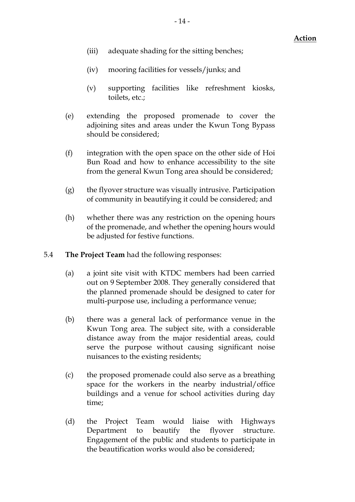- (iii) adequate shading for the sitting benches;
- (iv) mooring facilities for vessels/junks; and
- (v) supporting facilities like refreshment kiosks, toilets, etc.;
- (e) extending the proposed promenade to cover the adjoining sites and areas under the Kwun Tong Bypass should be considered;
- (f) integration with the open space on the other side of Hoi Bun Road and how to enhance accessibility to the site from the general Kwun Tong area should be considered;
- (g) the flyover structure was visually intrusive. Participation of community in beautifying it could be considered; and
- (h) whether there was any restriction on the opening hours of the promenade, and whether the opening hours would be adjusted for festive functions.
- 5.4 The Project Team had the following responses:
	- (a) a joint site visit with KTDC members had been carried out on 9 September 2008. They generally considered that the planned promenade should be designed to cater for multi-purpose use, including a performance venue;
	- (b) there was a general lack of performance venue in the Kwun Tong area. The subject site, with a considerable distance away from the major residential areas, could serve the purpose without causing significant noise nuisances to the existing residents;
	- (c) the proposed promenade could also serve as a breathing space for the workers in the nearby industrial/office buildings and a venue for school activities during day time;
	- (d) the Project Team would liaise with Highways Department to beautify the flyover structure. Engagement of the public and students to participate in the beautification works would also be considered;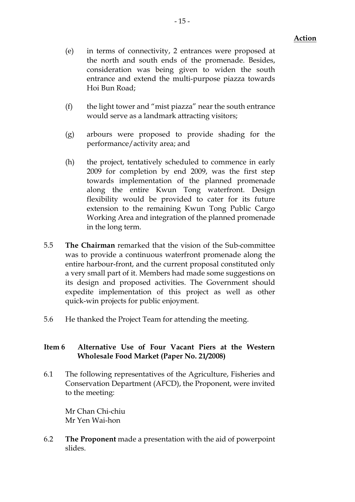- (e) in terms of connectivity, 2 entrances were proposed at the north and south ends of the promenade. Besides, consideration was being given to widen the south entrance and extend the multi-purpose piazza towards Hoi Bun Road;
- (f) the light tower and "mist piazza" near the south entrance would serve as a landmark attracting visitors;
- (g) arbours were proposed to provide shading for the performance/activity area; and
- (h) the project, tentatively scheduled to commence in early 2009 for completion by end 2009, was the first step towards implementation of the planned promenade along the entire Kwun Tong waterfront. Design flexibility would be provided to cater for its future extension to the remaining Kwun Tong Public Cargo Working Area and integration of the planned promenade in the long term.
- 5.5 The Chairman remarked that the vision of the Sub-committee was to provide a continuous waterfront promenade along the entire harbour-front, and the current proposal constituted only a very small part of it. Members had made some suggestions on its design and proposed activities. The Government should expedite implementation of this project as well as other quick-win projects for public enjoyment.
- 5.6 He thanked the Project Team for attending the meeting.

### Item 6 Alternative Use of Four Vacant Piers at the Western Wholesale Food Market (Paper No. 21/2008)

6.1 The following representatives of the Agriculture, Fisheries and Conservation Department (AFCD), the Proponent, were invited to the meeting:

Mr Chan Chi-chiu Mr Yen Wai-hon

6.2 The Proponent made a presentation with the aid of powerpoint slides.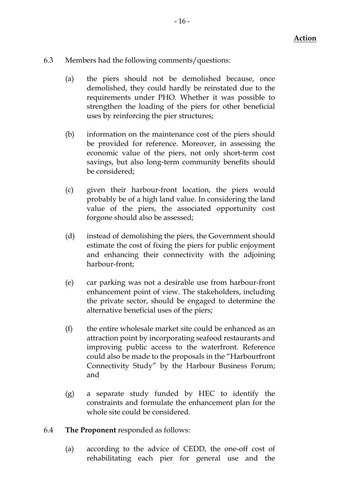- 6.3 Members had the following comments/questions:
	- (a) the piers should not be demolished because, once demolished, they could hardly be reinstated due to the requirements under PHO. Whether it was possible to strengthen the loading of the piers for other beneficial uses by reinforcing the pier structures;
	- (b) information on the maintenance cost of the piers should be provided for reference. Moreover, in assessing the economic value of the piers, not only short-term cost savings, but also long-term community benefits should be considered;
	- (c) given their harbour-front location, the piers would probably be of a high land value. In considering the land value of the piers, the associated opportunity cost forgone should also be assessed;
	- (d) instead of demolishing the piers, the Government should estimate the cost of fixing the piers for public enjoyment and enhancing their connectivity with the adjoining harbour-front;
	- (e) car parking was not a desirable use from harbour-front enhancement point of view. The stakeholders, including the private sector, should be engaged to determine the alternative beneficial uses of the piers;
	- (f) the entire wholesale market site could be enhanced as an attraction point by incorporating seafood restaurants and improving public access to the waterfront. Reference could also be made to the proposals in the "Harbourfront Connectivity Study" by the Harbour Business Forum; and
	- (g) a separate study funded by HEC to identify the constraints and formulate the enhancement plan for the whole site could be considered.

# 6.4 The Proponent responded as follows:

(a) according to the advice of CEDD, the one-off cost of rehabilitating each pier for general use and the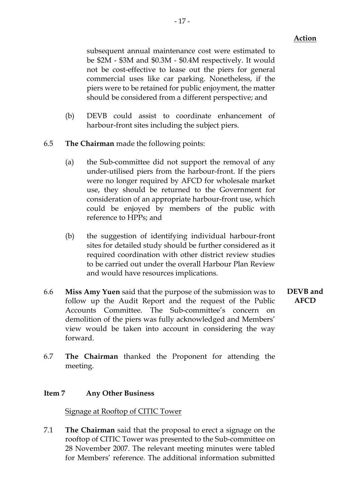subsequent annual maintenance cost were estimated to be \$2M - \$3M and \$0.3M - \$0.4M respectively. It would not be cost-effective to lease out the piers for general commercial uses like car parking. Nonetheless, if the piers were to be retained for public enjoyment, the matter should be considered from a different perspective; and

- (b) DEVB could assist to coordinate enhancement of harbour-front sites including the subject piers.
- 6.5 The Chairman made the following points:
	- (a) the Sub-committee did not support the removal of any under-utilised piers from the harbour-front. If the piers were no longer required by AFCD for wholesale market use, they should be returned to the Government for consideration of an appropriate harbour-front use, which could be enjoyed by members of the public with reference to HPPs; and
	- (b) the suggestion of identifying individual harbour-front sites for detailed study should be further considered as it required coordination with other district review studies to be carried out under the overall Harbour Plan Review and would have resources implications.
- 6.6 Miss Amy Yuen said that the purpose of the submission was to follow up the Audit Report and the request of the Public Accounts Committee. The Sub-committee's concern on demolition of the piers was fully acknowledged and Members' view would be taken into account in considering the way forward.
- DEVB and AFCD
- 6.7 The Chairman thanked the Proponent for attending the meeting.

#### Item 7 Any Other Business

Signage at Rooftop of CITIC Tower

7.1 The Chairman said that the proposal to erect a signage on the rooftop of CITIC Tower was presented to the Sub-committee on 28 November 2007. The relevant meeting minutes were tabled for Members' reference. The additional information submitted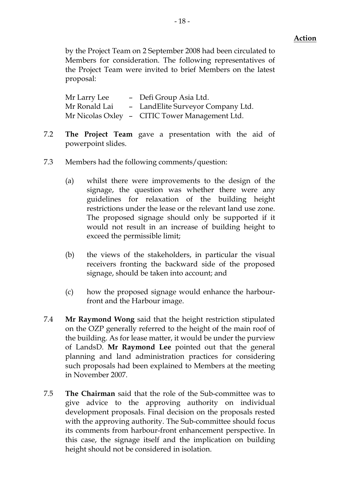by the Project Team on 2 September 2008 had been circulated to Members for consideration. The following representatives of the Project Team were invited to brief Members on the latest proposal:

Mr Larry Lee – Defi Group Asia Ltd. Mr Ronald Lai – LandElite Surveyor Company Ltd. Mr Nicolas Oxley – CITIC Tower Management Ltd.

- 7.2 The Project Team gave a presentation with the aid of powerpoint slides.
- 7.3 Members had the following comments/question:
	- (a) whilst there were improvements to the design of the signage, the question was whether there were any guidelines for relaxation of the building height restrictions under the lease or the relevant land use zone. The proposed signage should only be supported if it would not result in an increase of building height to exceed the permissible limit;
	- (b) the views of the stakeholders, in particular the visual receivers fronting the backward side of the proposed signage, should be taken into account; and
	- (c) how the proposed signage would enhance the harbourfront and the Harbour image.
- 7.4 Mr Raymond Wong said that the height restriction stipulated on the OZP generally referred to the height of the main roof of the building. As for lease matter, it would be under the purview of LandsD. Mr Raymond Lee pointed out that the general planning and land administration practices for considering such proposals had been explained to Members at the meeting in November 2007.
- 7.5 The Chairman said that the role of the Sub-committee was to give advice to the approving authority on individual development proposals. Final decision on the proposals rested with the approving authority. The Sub-committee should focus its comments from harbour-front enhancement perspective. In this case, the signage itself and the implication on building height should not be considered in isolation.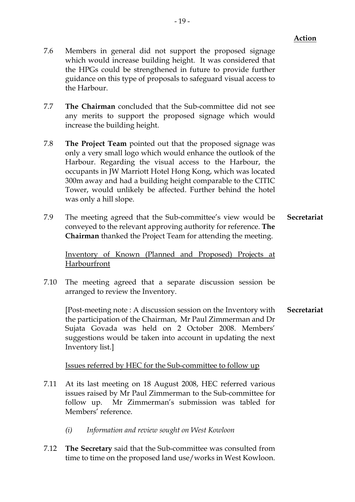- 7.6 Members in general did not support the proposed signage which would increase building height. It was considered that the HPGs could be strengthened in future to provide further guidance on this type of proposals to safeguard visual access to the Harbour.
- 7.7 The Chairman concluded that the Sub-committee did not see any merits to support the proposed signage which would increase the building height.
- 7.8 The Project Team pointed out that the proposed signage was only a very small logo which would enhance the outlook of the Harbour. Regarding the visual access to the Harbour, the occupants in JW Marriott Hotel Hong Kong, which was located 300m away and had a building height comparable to the CITIC Tower, would unlikely be affected. Further behind the hotel was only a hill slope.
- 7.9 The meeting agreed that the Sub-committee's view would be conveyed to the relevant approving authority for reference. The Chairman thanked the Project Team for attending the meeting. Secretariat

Inventory of Known (Planned and Proposed) Projects at Harbourfront

7.10 The meeting agreed that a separate discussion session be arranged to review the Inventory.

[Post-meeting note : A discussion session on the Inventory with the participation of the Chairman, Mr Paul Zimmerman and Dr Sujata Govada was held on 2 October 2008. Members' suggestions would be taken into account in updating the next Inventory list.] Secretariat

Issues referred by HEC for the Sub-committee to follow up

- 7.11 At its last meeting on 18 August 2008, HEC referred various issues raised by Mr Paul Zimmerman to the Sub-committee for follow up. Mr Zimmerman's submission was tabled for Members' reference.
	- (i) Information and review sought on West Kowloon
- 7.12 The Secretary said that the Sub-committee was consulted from time to time on the proposed land use/works in West Kowloon.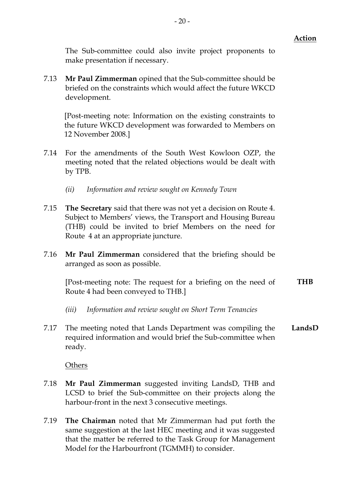The Sub-committee could also invite project proponents to make presentation if necessary.

7.13 Mr Paul Zimmerman opined that the Sub-committee should be briefed on the constraints which would affect the future WKCD development.

[Post-meeting note: Information on the existing constraints to the future WKCD development was forwarded to Members on 12 November 2008.]

- 7.14 For the amendments of the South West Kowloon OZP, the meeting noted that the related objections would be dealt with by TPB.
	- (ii) Information and review sought on Kennedy Town
- 7.15 The Secretary said that there was not yet a decision on Route 4. Subject to Members' views, the Transport and Housing Bureau (THB) could be invited to brief Members on the need for Route 4 at an appropriate juncture.
- 7.16 **Mr Paul Zimmerman** considered that the briefing should be arranged as soon as possible.

[Post-meeting note: The request for a briefing on the need of Route 4 had been conveyed to THB.] **THB** 

- (iii) Information and review sought on Short Term Tenancies
- 7.17 The meeting noted that Lands Department was compiling the required information and would brief the Sub-committee when ready. LandsD

**Others** 

- 7.18 Mr Paul Zimmerman suggested inviting LandsD, THB and LCSD to brief the Sub-committee on their projects along the harbour-front in the next 3 consecutive meetings.
- 7.19 The Chairman noted that Mr Zimmerman had put forth the same suggestion at the last HEC meeting and it was suggested that the matter be referred to the Task Group for Management Model for the Harbourfront (TGMMH) to consider.